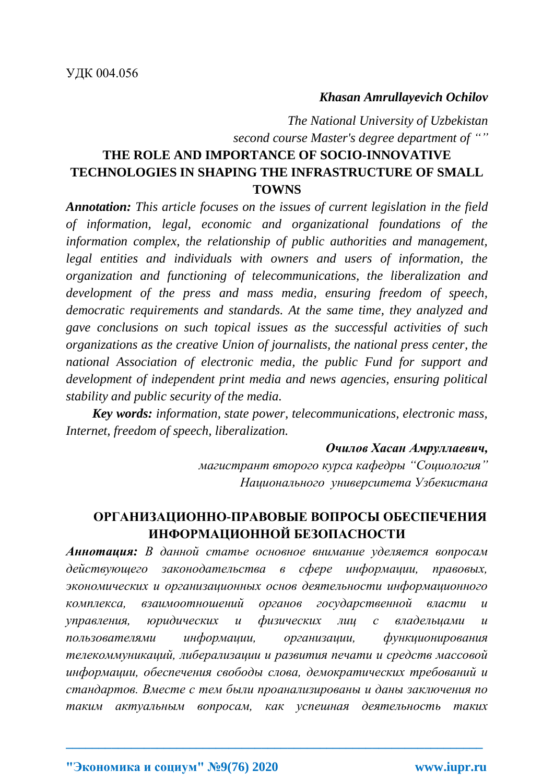### *Khasan Amrullayevich Ochilov*

*The National University of Uzbekistan second course Master's degree department of ""*

# **THE ROLE AND IMPORTANCE OF SOCIO-INNOVATIVE TECHNOLOGIES IN SHAPING THE INFRASTRUCTURE OF SMALL TOWNS**

*Annotation: This article focuses on the issues of current legislation in the field of information, legal, economic and organizational foundations of the information complex, the relationship of public authorities and management, legal entities and individuals with owners and users of information, the organization and functioning of telecommunications, the liberalization and development of the press and mass media, ensuring freedom of speech, democratic requirements and standards. At the same time, they analyzed and gave conclusions on such topical issues as the successful activities of such organizations as the creative Union of journalists, the national press center, the national Association of electronic media, the public Fund for support and development of independent print media and news agencies, ensuring political stability and public security of the media.*

*Key words: information, state power, telecommunications, electronic mass, Internet, freedom of speech, liberalization.*

#### *Очилов Хасан Амруллаевич,*

*магистрант второго курса кафедры "Социология" Национального университета Узбекистана*

## **ОРГАНИЗАЦИОННО-ПРАВОВЫЕ ВОПРОСЫ ОБЕСПЕЧЕНИЯ ИНФОРМАЦИОННОЙ БЕЗОПАСНОСТИ**

*Аннотация: В данной статье основное внимание уделяется вопросам действующего законодательства в сфере информации, правовых, экономических и организационных основ деятельности информационного комплекса, взаимоотношений органов государственной власти и управления, юридических и физических лиц с владельцами и пользователями информации, организации, функционирования телекоммуникаций, либерализации и развития печати и средств массовой информации, обеспечения свободы слова, демократических требований и стандартов. Вместе с тем были проанализированы и даны заключения по таким актуальным вопросам, как успешная деятельность таких*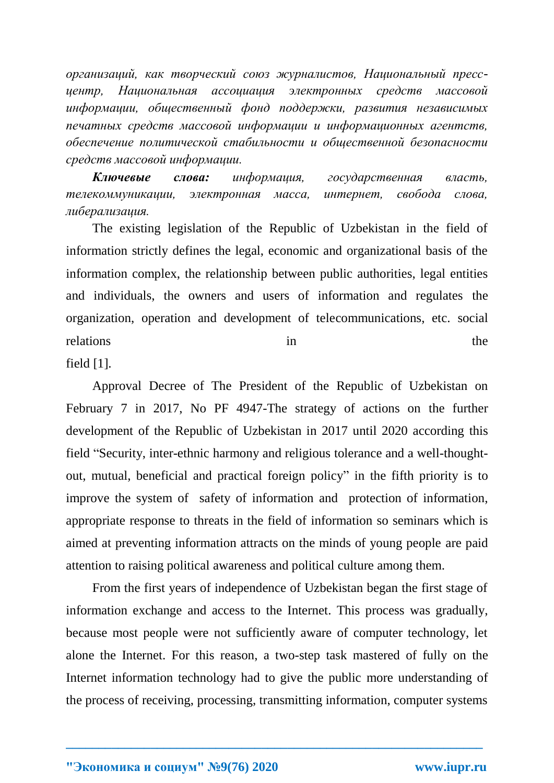*организаций, как творческий союз журналистов, Национальный прессцентр, Национальная ассоциация электронных средств массовой информации, общественный фонд поддержки, развития независимых печатных средств массовой информации и информационных агентств, обеспечение политической стабильности и общественной безопасности средств массовой информации.*

*Ключевые слова: информация, государственная власть, телекоммуникации, электронная масса, интернет, свобода слова, либерализация.*

The existing legislation of the Republic of Uzbekistan in the field of information strictly defines the legal, economic and organizational basis of the information complex, the relationship between public authorities, legal entities and individuals, the owners and users of information and regulates the organization, operation and development of telecommunications, etc. social relations in the the set of the set of the set of the set of the set of the set of the set of the set of the set of the set of the set of the set of the set of the set of the set of the set of the set of the set of the set

field [1].

Approval Decree of The President of the Republic of Uzbekistan on February 7 in 2017, No PF 4947-The strategy of actions on the further development of the Republic of Uzbekistan in 2017 until 2020 according this field "Security, inter-ethnic harmony and religious tolerance and a well-thoughtout, mutual, beneficial and practical foreign policy" in the fifth priority is to improve the system of safety of information and protection of information, appropriate response to threats in the field of information so seminars which is aimed at preventing information attracts on the minds of young people are paid attention to raising political awareness and political culture among them.

From the first years of independence of Uzbekistan began the first stage of information exchange and access to the Internet. This process was gradually, because most people were not sufficiently aware of computer technology, let alone the Internet. For this reason, a two-step task mastered of fully on the Internet information technology had to give the public more understanding of the process of receiving, processing, transmitting information, computer systems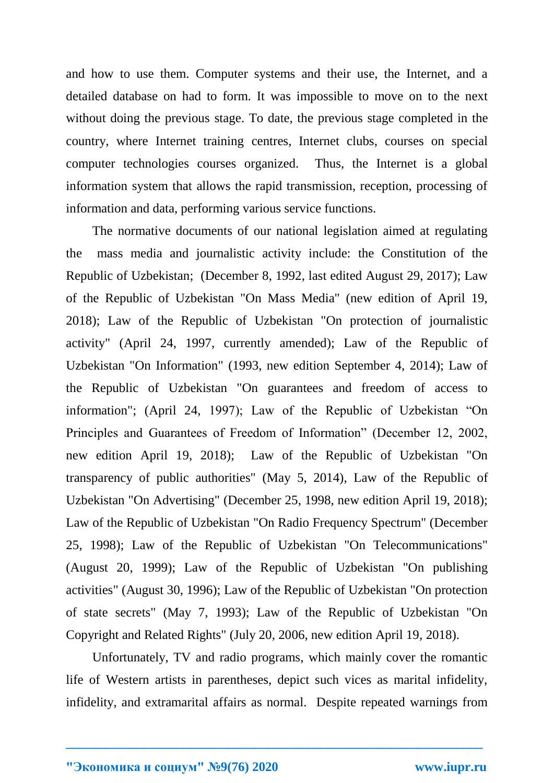and how to use them. Computer systems and their use, the Internet, and a detailed database on had to form. It was impossible to move on to the next without doing the previous stage. To date, the previous stage completed in the country, where Internet training centres, Internet clubs, courses on special computer technologies courses organized. Thus, the Internet is a global information system that allows the rapid transmission, reception, processing of information and data, performing various service functions.

The normative documents of our national legislation aimed at regulating the mass media and journalistic activity include: the Constitution of the Republic of Uzbekistan; (December 8, 1992, last edited August 29, 2017); Law of the Republic of Uzbekistan "On Mass Media" (new edition of April 19, 2018); Law of the Republic of Uzbekistan "On protection of journalistic activity" (April 24, 1997, currently amended); Law of the Republic of Uzbekistan "On Information" (1993, new edition September 4, 2014); Law of the Republic of Uzbekistan "On guarantees and freedom of access to information"; (April 24, 1997); Law of the Republic of Uzbekistan "On Principles and Guarantees of Freedom of Information" (December 12, 2002, new edition April 19, 2018); Law of the Republic of Uzbekistan "On transparency of public authorities" (May 5, 2014), Law of the Republic of Uzbekistan "On Advertising" (December 25, 1998, new edition April 19, 2018); Law of the Republic of Uzbekistan "On Radio Frequency Spectrum" (December 25, 1998); Law of the Republic of Uzbekistan "On Telecommunications" (August 20, 1999); Law of the Republic of Uzbekistan "On publishing activities" (August 30, 1996); Law of the Republic of Uzbekistan "On protection of state secrets" (May 7, 1993); Law of the Republic of Uzbekistan "On Copyright and Related Rights" (July 20, 2006, new edition April 19, 2018).

Unfortunately, TV and radio programs, which mainly cover the romantic life of Western artists in parentheses, depict such vices as marital infidelity, infidelity, and extramarital affairs as normal. Despite repeated warnings from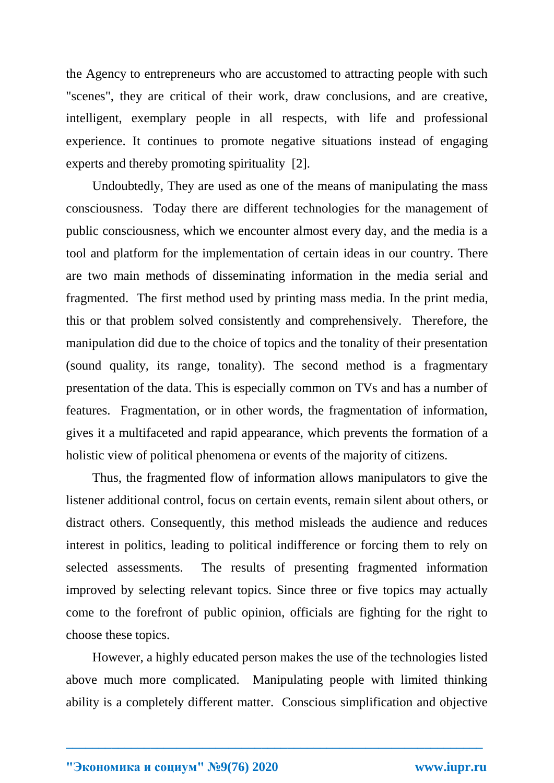the Agency to entrepreneurs who are accustomed to attracting people with such "scenes", they are critical of their work, draw conclusions, and are creative, intelligent, exemplary people in all respects, with life and professional experience. It continues to promote negative situations instead of engaging experts and thereby promoting spirituality [2].

Undoubtedly, They are used as one of the means of manipulating the mass consciousness. Today there are different technologies for the management of public consciousness, which we encounter almost every day, and the media is a tool and platform for the implementation of certain ideas in our country. There are two main methods of disseminating information in the media serial and fragmented. The first method used by printing mass media. In the print media, this or that problem solved consistently and comprehensively. Therefore, the manipulation did due to the choice of topics and the tonality of their presentation (sound quality, its range, tonality). The second method is a fragmentary presentation of the data. This is especially common on TVs and has a number of features. Fragmentation, or in other words, the fragmentation of information, gives it a multifaceted and rapid appearance, which prevents the formation of a holistic view of political phenomena or events of the majority of citizens.

Thus, the fragmented flow of information allows manipulators to give the listener additional control, focus on certain events, remain silent about others, or distract others. Consequently, this method misleads the audience and reduces interest in politics, leading to political indifference or forcing them to rely on selected assessments. The results of presenting fragmented information improved by selecting relevant topics. Since three or five topics may actually come to the forefront of public opinion, officials are fighting for the right to choose these topics.

However, a highly educated person makes the use of the technologies listed above much more complicated. Manipulating people with limited thinking ability is a completely different matter. Conscious simplification and objective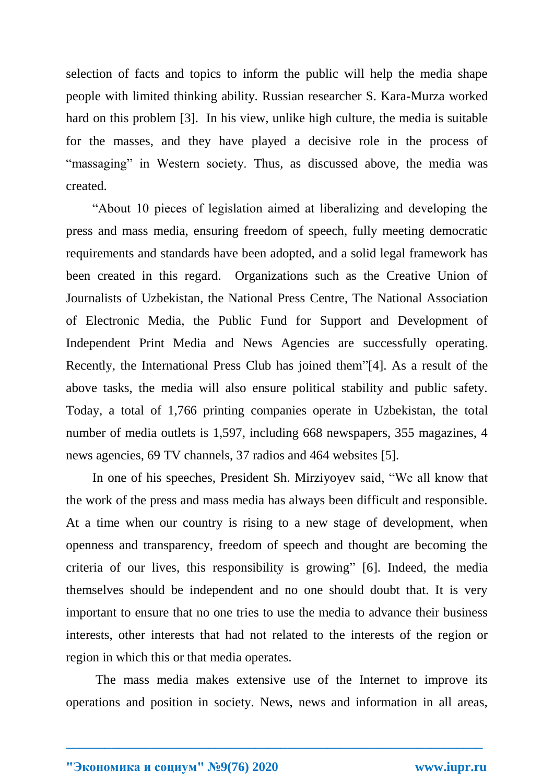selection of facts and topics to inform the public will help the media shape people with limited thinking ability. Russian researcher S. Kara-Murza worked hard on this problem [3]. In his view, unlike high culture, the media is suitable for the masses, and they have played a decisive role in the process of "massaging" in Western society. Thus, as discussed above, the media was created.

"About 10 pieces of legislation aimed at liberalizing and developing the press and mass media, ensuring freedom of speech, fully meeting democratic requirements and standards have been adopted, and a solid legal framework has been created in this regard. Organizations such as the Creative Union of Journalists of Uzbekistan, the National Press Centre, The National Association of Electronic Media, the Public Fund for Support and Development of Independent Print Media and News Agencies are successfully operating. Recently, the International Press Club has joined them"[4]. As a result of the above tasks, the media will also ensure political stability and public safety. Today, a total of 1,766 printing companies operate in Uzbekistan, the total number of media outlets is 1,597, including 668 newspapers, 355 magazines, 4 news agencies, 69 TV channels, 37 radios and 464 websites [5].

In one of his speeches, President Sh. Mirziyoyev said, "We all know that the work of the press and mass media has always been difficult and responsible. At a time when our country is rising to a new stage of development, when openness and transparency, freedom of speech and thought are becoming the criteria of our lives, this responsibility is growing" [6]. Indeed, the media themselves should be independent and no one should doubt that. It is very important to ensure that no one tries to use the media to advance their business interests, other interests that had not related to the interests of the region or region in which this or that media operates.

The mass media makes extensive use of the Internet to improve its operations and position in society. News, news and information in all areas,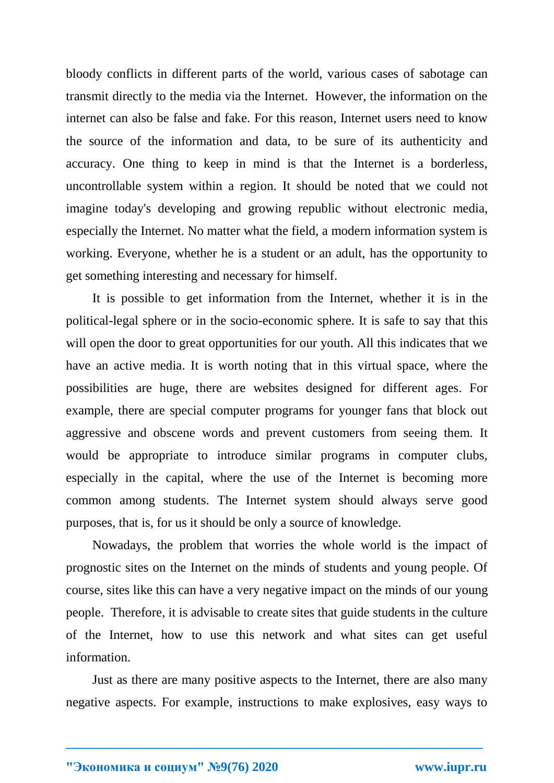bloody conflicts in different parts of the world, various cases of sabotage can transmit directly to the media via the Internet. However, the information on the internet can also be false and fake. For this reason, Internet users need to know the source of the information and data, to be sure of its authenticity and accuracy. One thing to keep in mind is that the Internet is a borderless, uncontrollable system within a region. It should be noted that we could not imagine today's developing and growing republic without electronic media, especially the Internet. No matter what the field, a modern information system is working. Everyone, whether he is a student or an adult, has the opportunity to get something interesting and necessary for himself.

It is possible to get information from the Internet, whether it is in the political-legal sphere or in the socio-economic sphere. It is safe to say that this will open the door to great opportunities for our youth. All this indicates that we have an active media. It is worth noting that in this virtual space, where the possibilities are huge, there are websites designed for different ages. For example, there are special computer programs for younger fans that block out aggressive and obscene words and prevent customers from seeing them. It would be appropriate to introduce similar programs in computer clubs, especially in the capital, where the use of the Internet is becoming more common among students. The Internet system should always serve good purposes, that is, for us it should be only a source of knowledge.

Nowadays, the problem that worries the whole world is the impact of prognostic sites on the Internet on the minds of students and young people. Of course, sites like this can have a very negative impact on the minds of our young people. Therefore, it is advisable to create sites that guide students in the culture of the Internet, how to use this network and what sites can get useful information.

Just as there are many positive aspects to the Internet, there are also many negative aspects. For example, instructions to make explosives, easy ways to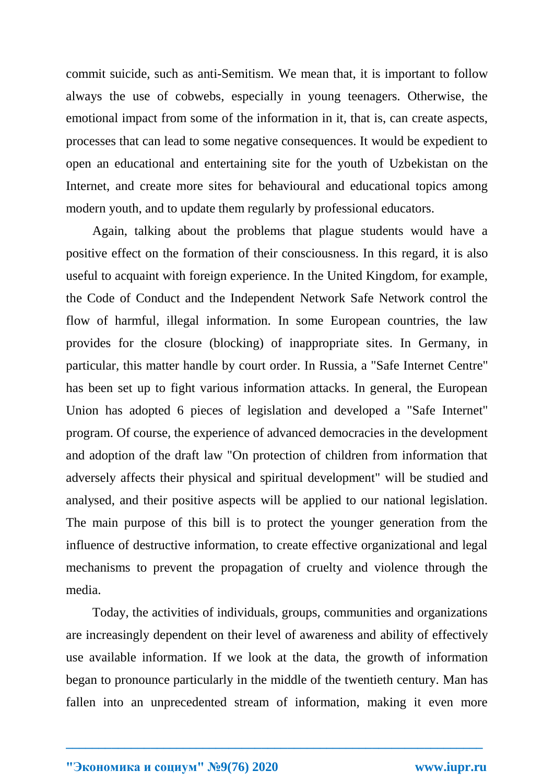commit suicide, such as anti-Semitism. We mean that, it is important to follow always the use of cobwebs, especially in young teenagers. Otherwise, the emotional impact from some of the information in it, that is, can create aspects, processes that can lead to some negative consequences. It would be expedient to open an educational and entertaining site for the youth of Uzbekistan on the Internet, and create more sites for behavioural and educational topics among modern youth, and to update them regularly by professional educators.

Again, talking about the problems that plague students would have a positive effect on the formation of their consciousness. In this regard, it is also useful to acquaint with foreign experience. In the United Kingdom, for example, the Code of Conduct and the Independent Network Safe Network control the flow of harmful, illegal information. In some European countries, the law provides for the closure (blocking) of inappropriate sites. In Germany, in particular, this matter handle by court order. In Russia, a "Safe Internet Centre" has been set up to fight various information attacks. In general, the European Union has adopted 6 pieces of legislation and developed a "Safe Internet" program. Of course, the experience of advanced democracies in the development and adoption of the draft law "On protection of children from information that adversely affects their physical and spiritual development" will be studied and analysed, and their positive aspects will be applied to our national legislation. The main purpose of this bill is to protect the younger generation from the influence of destructive information, to create effective organizational and legal mechanisms to prevent the propagation of cruelty and violence through the media.

Today, the activities of individuals, groups, communities and organizations are increasingly dependent on their level of awareness and ability of effectively use available information. If we look at the data, the growth of information began to pronounce particularly in the middle of the twentieth century. Man has fallen into an unprecedented stream of information, making it even more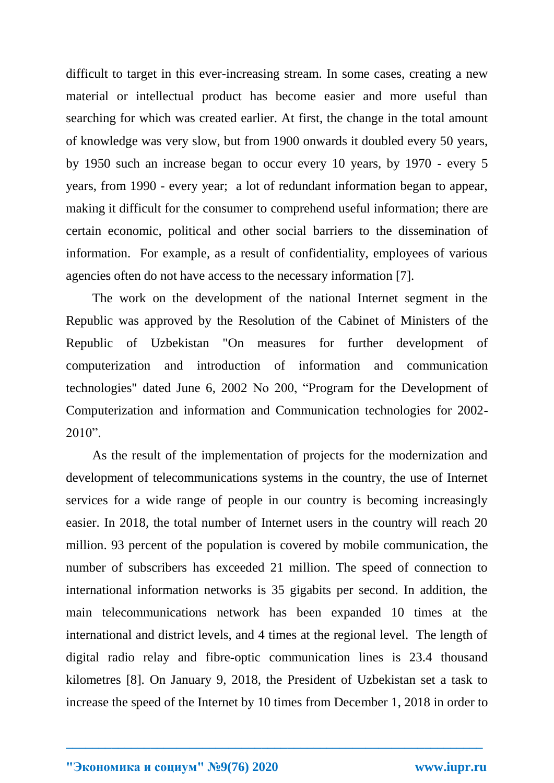difficult to target in this ever-increasing stream. In some cases, creating a new material or intellectual product has become easier and more useful than searching for which was created earlier. At first, the change in the total amount of knowledge was very slow, but from 1900 onwards it doubled every 50 years, by 1950 such an increase began to occur every 10 years, by 1970 - every 5 years, from 1990 - every year; a lot of redundant information began to appear, making it difficult for the consumer to comprehend useful information; there are certain economic, political and other social barriers to the dissemination of information. For example, as a result of confidentiality, employees of various agencies often do not have access to the necessary information [7].

The work on the development of the national Internet segment in the Republic was approved by the Resolution of the Cabinet of Ministers of the Republic of Uzbekistan "On measures for further development of computerization and introduction of information and communication technologies" dated June 6, 2002 No 200, "Program for the Development of Computerization and information and Communication technologies for 2002-  $2010"$ .

As the result of the implementation of projects for the modernization and development of telecommunications systems in the country, the use of Internet services for a wide range of people in our country is becoming increasingly easier. In 2018, the total number of Internet users in the country will reach 20 million. 93 percent of the population is covered by mobile communication, the number of subscribers has exceeded 21 million. The speed of connection to international information networks is 35 gigabits per second. In addition, the main telecommunications network has been expanded 10 times at the international and district levels, and 4 times at the regional level. The length of digital radio relay and fibre-optic communication lines is 23.4 thousand kilometres [8]. On January 9, 2018, the President of Uzbekistan set a task to increase the speed of the Internet by 10 times from December 1, 2018 in order to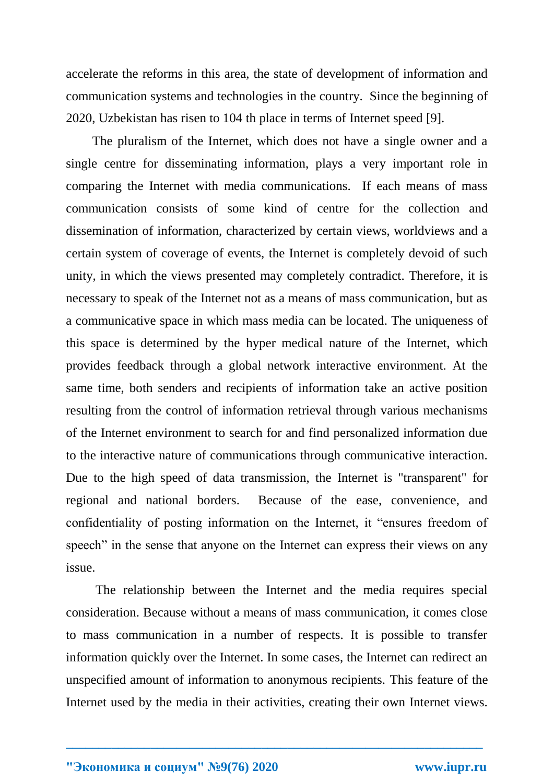accelerate the reforms in this area, the state of development of information and communication systems and technologies in the country. Since the beginning of 2020, Uzbekistan has risen to 104 th place in terms of Internet speed [9].

The pluralism of the Internet, which does not have a single owner and a single centre for disseminating information, plays a very important role in comparing the Internet with media communications. If each means of mass communication consists of some kind of centre for the collection and dissemination of information, characterized by certain views, worldviews and a certain system of coverage of events, the Internet is completely devoid of such unity, in which the views presented may completely contradict. Therefore, it is necessary to speak of the Internet not as a means of mass communication, but as a communicative space in which mass media can be located. The uniqueness of this space is determined by the hyper medical nature of the Internet, which provides feedback through a global network interactive environment. At the same time, both senders and recipients of information take an active position resulting from the control of information retrieval through various mechanisms of the Internet environment to search for and find personalized information due to the interactive nature of communications through communicative interaction. Due to the high speed of data transmission, the Internet is "transparent" for regional and national borders. Because of the ease, convenience, and confidentiality of posting information on the Internet, it "ensures freedom of speech" in the sense that anyone on the Internet can express their views on any issue.

The relationship between the Internet and the media requires special consideration. Because without a means of mass communication, it comes close to mass communication in a number of respects. It is possible to transfer information quickly over the Internet. In some cases, the Internet can redirect an unspecified amount of information to anonymous recipients. This feature of the Internet used by the media in their activities, creating their own Internet views.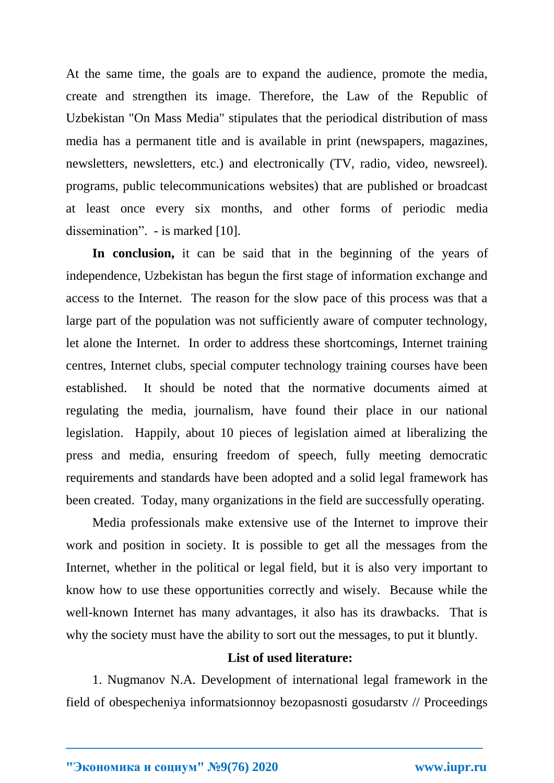At the same time, the goals are to expand the audience, promote the media, create and strengthen its image. Therefore, the Law of the Republic of Uzbekistan "On Mass Media" stipulates that the periodical distribution of mass media has a permanent title and is available in print (newspapers, magazines, newsletters, newsletters, etc.) and electronically (TV, radio, video, newsreel). programs, public telecommunications websites) that are published or broadcast at least once every six months, and other forms of periodic media dissemination". - is marked [10].

In conclusion, it can be said that in the beginning of the years of independence, Uzbekistan has begun the first stage of information exchange and access to the Internet. The reason for the slow pace of this process was that a large part of the population was not sufficiently aware of computer technology, let alone the Internet. In order to address these shortcomings, Internet training centres, Internet clubs, special computer technology training courses have been established. It should be noted that the normative documents aimed at regulating the media, journalism, have found their place in our national legislation. Happily, about 10 pieces of legislation aimed at liberalizing the press and media, ensuring freedom of speech, fully meeting democratic requirements and standards have been adopted and a solid legal framework has been created. Today, many organizations in the field are successfully operating.

Media professionals make extensive use of the Internet to improve their work and position in society. It is possible to get all the messages from the Internet, whether in the political or legal field, but it is also very important to know how to use these opportunities correctly and wisely. Because while the well-known Internet has many advantages, it also has its drawbacks. That is why the society must have the ability to sort out the messages, to put it bluntly.

#### **List of used literature:**

1. Nugmanov N.A. Development of international legal framework in the field of obespecheniya informatsionnoy bezopasnosti gosudarstv // Proceedings